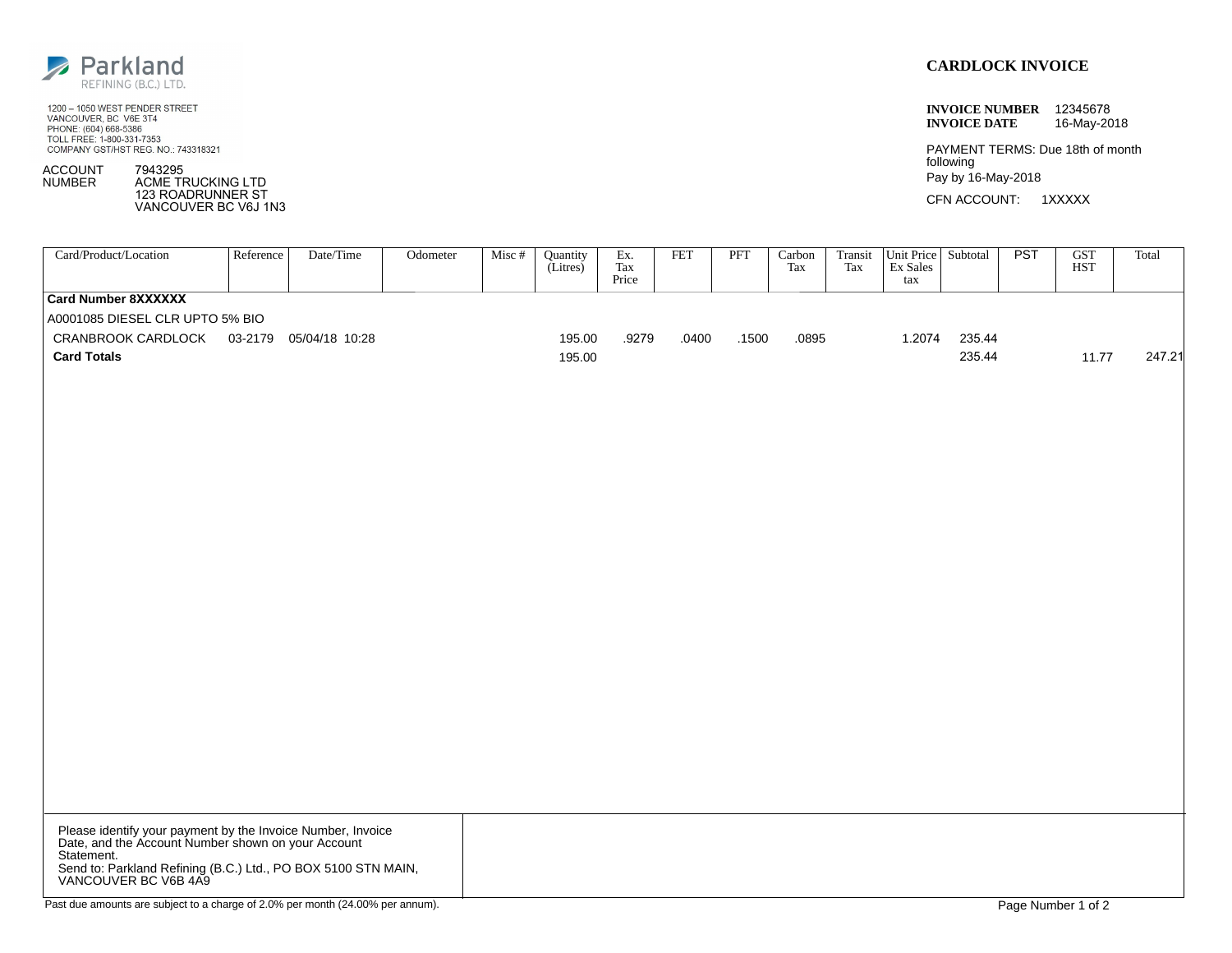

1200 - 1050 WEST PENDER STREET VANCOUVER, BC V6E 3T4 PHONE: (604) 668-5386<br>TOLL FREE: 1-800-331-7353 COMPANY GST/HST REG. NO.: 743318321

ACCOUNT **NUMBER** 7943295 ACME TRUCKING LTD

123 ROADRUNNER ST VANCOUVER BC V6J 1N3

## **CARDLOCK INVOICE**

**INVOICE NUMBER** 12345678 **INVOICE DATE** 16-May-2018

PAYMENT TERMS: Due 18th of month following Pay by 16-May-2018

CFN ACCOUNT: 1XXXXX

| Card/Product/Location                                                                                             | Reference | Date/Time | Odometer | Misc # | Quantity<br>(Litres) | Ex.<br>Tax<br>Price | <b>FET</b> | PFT   | Carbon<br>Tax | Transit<br>Tax | Unit Price Subtotal<br>Ex Sales<br>tax |        | PST | $\overline{\text{GST}}$<br><b>HST</b> | Total  |
|-------------------------------------------------------------------------------------------------------------------|-----------|-----------|----------|--------|----------------------|---------------------|------------|-------|---------------|----------------|----------------------------------------|--------|-----|---------------------------------------|--------|
| <b>Card Number 8XXXXXX</b>                                                                                        |           |           |          |        |                      |                     |            |       |               |                |                                        |        |     |                                       |        |
| A0001085 DIESEL CLR UPTO 5% BIO                                                                                   |           |           |          |        |                      |                     |            |       |               |                |                                        |        |     |                                       |        |
| CRANBROOK CARDLOCK 03-2179 05/04/18 10:28                                                                         |           |           |          |        | 195.00               | .9279               | .0400      | .1500 | .0895         |                | 1.2074                                 | 235.44 |     |                                       |        |
| <b>Card Totals</b>                                                                                                |           |           |          |        | 195.00               |                     |            |       |               |                |                                        | 235.44 |     | 11.77                                 | 247.21 |
|                                                                                                                   |           |           |          |        |                      |                     |            |       |               |                |                                        |        |     |                                       |        |
|                                                                                                                   |           |           |          |        |                      |                     |            |       |               |                |                                        |        |     |                                       |        |
|                                                                                                                   |           |           |          |        |                      |                     |            |       |               |                |                                        |        |     |                                       |        |
|                                                                                                                   |           |           |          |        |                      |                     |            |       |               |                |                                        |        |     |                                       |        |
|                                                                                                                   |           |           |          |        |                      |                     |            |       |               |                |                                        |        |     |                                       |        |
|                                                                                                                   |           |           |          |        |                      |                     |            |       |               |                |                                        |        |     |                                       |        |
|                                                                                                                   |           |           |          |        |                      |                     |            |       |               |                |                                        |        |     |                                       |        |
|                                                                                                                   |           |           |          |        |                      |                     |            |       |               |                |                                        |        |     |                                       |        |
|                                                                                                                   |           |           |          |        |                      |                     |            |       |               |                |                                        |        |     |                                       |        |
|                                                                                                                   |           |           |          |        |                      |                     |            |       |               |                |                                        |        |     |                                       |        |
|                                                                                                                   |           |           |          |        |                      |                     |            |       |               |                |                                        |        |     |                                       |        |
|                                                                                                                   |           |           |          |        |                      |                     |            |       |               |                |                                        |        |     |                                       |        |
|                                                                                                                   |           |           |          |        |                      |                     |            |       |               |                |                                        |        |     |                                       |        |
|                                                                                                                   |           |           |          |        |                      |                     |            |       |               |                |                                        |        |     |                                       |        |
|                                                                                                                   |           |           |          |        |                      |                     |            |       |               |                |                                        |        |     |                                       |        |
|                                                                                                                   |           |           |          |        |                      |                     |            |       |               |                |                                        |        |     |                                       |        |
|                                                                                                                   |           |           |          |        |                      |                     |            |       |               |                |                                        |        |     |                                       |        |
|                                                                                                                   |           |           |          |        |                      |                     |            |       |               |                |                                        |        |     |                                       |        |
|                                                                                                                   |           |           |          |        |                      |                     |            |       |               |                |                                        |        |     |                                       |        |
|                                                                                                                   |           |           |          |        |                      |                     |            |       |               |                |                                        |        |     |                                       |        |
|                                                                                                                   |           |           |          |        |                      |                     |            |       |               |                |                                        |        |     |                                       |        |
|                                                                                                                   |           |           |          |        |                      |                     |            |       |               |                |                                        |        |     |                                       |        |
|                                                                                                                   |           |           |          |        |                      |                     |            |       |               |                |                                        |        |     |                                       |        |
| Please identify your payment by the Invoice Number, Invoice<br>Date, and the Account Number shown on your Account |           |           |          |        |                      |                     |            |       |               |                |                                        |        |     |                                       |        |
|                                                                                                                   |           |           |          |        |                      |                     |            |       |               |                |                                        |        |     |                                       |        |
| Statement.<br>Send to: Parkland Refining (B.C.) Ltd., PO BOX 5100 STN MAIN,<br>VANCOUVER BC V6B 4A9               |           |           |          |        |                      |                     |            |       |               |                |                                        |        |     |                                       |        |
|                                                                                                                   |           |           |          |        |                      |                     |            |       |               |                |                                        |        |     |                                       |        |
| Past due amounts are subject to a charge of 2.0% per month (24.00% per annum).                                    |           |           |          |        |                      |                     |            |       |               |                |                                        |        |     | Page Number 1 of 2                    |        |
|                                                                                                                   |           |           |          |        |                      |                     |            |       |               |                |                                        |        |     |                                       |        |